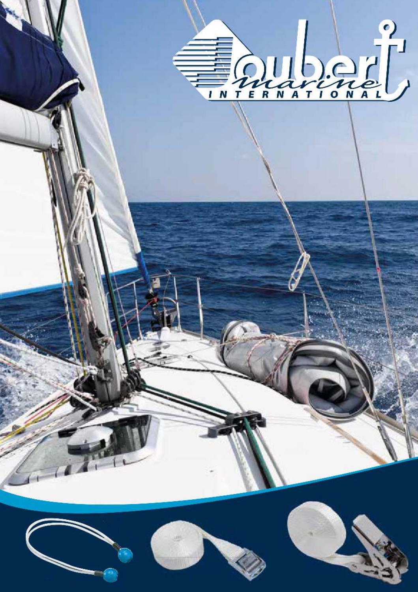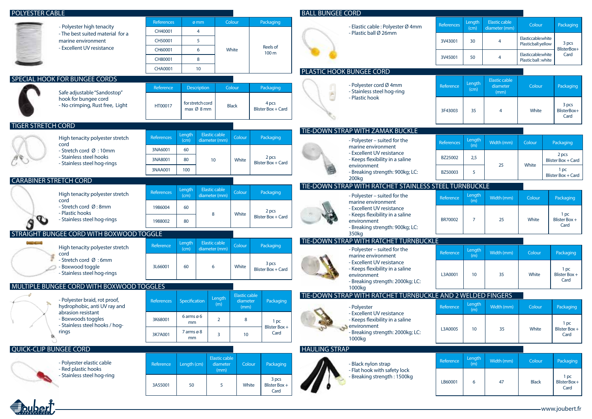| <b>POLYESTER CABLE</b>                                |                                                                                                                            |                              |                                |                                       |                      |                                    | <b>BALL BUNGEE CORD</b> |                                                                                                                 |                   |                 |                                          |                                          |                                   |
|-------------------------------------------------------|----------------------------------------------------------------------------------------------------------------------------|------------------------------|--------------------------------|---------------------------------------|----------------------|------------------------------------|-------------------------|-----------------------------------------------------------------------------------------------------------------|-------------------|-----------------|------------------------------------------|------------------------------------------|-----------------------------------|
|                                                       | - Polyester high tenacity<br>- The best suited material for a<br>marine environment                                        | <b>References</b><br>CH40001 | ømm<br>$\overline{4}$          |                                       | Colour               | Packaging                          |                         | - Elastic cable : Polyester Ø 4mm                                                                               | References        | Length<br>(cm)  | <b>Elastic cable</b><br>diameter (mm)    | Colour                                   | Packaging                         |
|                                                       |                                                                                                                            | CH50001                      | 5                              |                                       |                      |                                    |                         | - Plastic ball Ø 26mm                                                                                           | 3V43001           | 30              | $\overline{4}$                           | Elasticcable:white<br>Plasticball:yellow | 3 pcs                             |
|                                                       | - Excellent UV resistance                                                                                                  | CH60001                      | 6                              |                                       | White                | Reels of<br>100 <sub>m</sub>       |                         |                                                                                                                 |                   |                 |                                          | Elasticcable:white                       | BlisterBox+<br>Card               |
|                                                       |                                                                                                                            | CH80001                      | 8                              |                                       |                      |                                    |                         |                                                                                                                 | 3V45001           | 50              | $\overline{4}$                           | Plastic ball: white                      |                                   |
|                                                       |                                                                                                                            | <b>CHA0001</b>               | 10 <sup>°</sup>                |                                       |                      |                                    |                         | PLASTIC HOOK BUNGEE CORD                                                                                        |                   |                 |                                          |                                          |                                   |
|                                                       | SPECIAL HOOK FOR BUNGEE CORDS<br>Safe adjustable "Sandostop"<br>hook for bungee cord<br>- No crimping, Rust free, Light    | Reference                    | Description                    |                                       | Colour               | Packaging                          | (2)                     | - Polyester cord Ø 4mm<br>- Stainless steel hog-ring<br>- Plastic hook                                          | Reference         | Length<br>(cm)  | <b>Elastic cable</b><br>diameter<br>(mm) | Colour                                   | Packaging                         |
|                                                       |                                                                                                                            | HT00017                      | for stretch cord<br>max Ø 8 mm |                                       | <b>Black</b>         | 4 pcs<br><b>Blister Box + Card</b> |                         |                                                                                                                 | 3F43003           | 35              | $\overline{4}$                           | White                                    | 3 pcs<br>BlisterBox+<br>Card      |
| <b>TIGER STRETCH CORD</b>                             |                                                                                                                            |                              |                                |                                       |                      |                                    |                         | TIE-DOWN STRAP WITH ZAMAK BUCKLE                                                                                |                   |                 |                                          |                                          |                                   |
|                                                       | High tenacity polyester stretch<br>cord<br>- Stretch cord Ø:10mm<br>- Stainless steel hooks<br>- Stainless steel hog-rings | References                   | Length<br>(cm)                 | <b>Elastic cable</b><br>diameter (mm) | Colour               | Packaging                          |                         | - Polyester - suited for the                                                                                    | <b>References</b> | Length          | Width (mm)                               | Colour                                   | Packaging                         |
|                                                       |                                                                                                                            | 3NA6001                      | 60                             |                                       | White                | 2 pcs<br>Blister Box + Card        |                         | marine environment<br>- Excellent UV resistance<br>- Keeps flexibility in a saline<br>environment               |                   | (m)             |                                          |                                          | 2 pcs                             |
|                                                       |                                                                                                                            | 3NA8001                      | 80                             | 10 <sup>°</sup>                       |                      |                                    |                         |                                                                                                                 | BZ25002           | 2,5             | 25                                       | White                                    | Blister Box + Card                |
|                                                       |                                                                                                                            | 3NAA001                      | 100                            |                                       |                      |                                    |                         | - Breaking strength: 900kg; LC:<br>200 <sub>kg</sub>                                                            | BZ50003           | -5              |                                          |                                          | 1 pc<br><b>Blister Box + Card</b> |
| <b>CARABINER STRETCH CORD</b><br><b>Elastic cable</b> |                                                                                                                            |                              |                                |                                       |                      |                                    |                         | TIE-DOWN STRAP WITH RATCHET STAINLESS STEEL TURNBUCKLE                                                          |                   |                 |                                          |                                          |                                   |
| $\sigma$                                              | High tenacity polyester stretch<br>cord                                                                                    | References                   | Length<br>(cm)                 | diameter (mm)                         | Colour               | Packaging                          |                         | - Polyester - suited for the<br>marine environment                                                              | Reference         | Length<br>(m)   | Width (mm)                               | Colour                                   | Packaging                         |
|                                                       | - Stretch cord Ø:8mm<br>- Plastic hooks                                                                                    | 1986004                      | 60                             | 8                                     | White                | 2 pcs                              |                         | - Excellent UV resistance                                                                                       |                   |                 |                                          |                                          | 1 pc                              |
|                                                       | - Stainless steel hog-rings                                                                                                | 1988002                      | 80                             |                                       |                      | Blister Box + Card                 |                         | - Keeps flexibility in a saline<br>environment<br>- Breaking strength: 900kg; LC:                               | <b>BR70002</b>    | $\overline{7}$  | 25                                       | White                                    | Blister Box +<br>Card             |
|                                                       | STRAIGHT BUNGEE CORD WITH BOXWOOD TOGGLE                                                                                   |                              |                                |                                       |                      |                                    |                         | 350 <sub>kg</sub><br>TIE-DOWN STRAP WITH RATCHET TURNBUCKLE                                                     |                   |                 |                                          |                                          |                                   |
| <b><i><u>Service</u></i> Contract</b>                 | High tenacity polyester stretch<br>cord                                                                                    | Reference                    | Length<br>(cm)                 | <b>Elastic cable</b><br>diameter (mm) | Colour               | Packaging                          |                         | - Polyester - suited for the<br>marine environment                                                              | Reference         | Length<br>(m)   | Width (mm)                               | Colour                                   | Packaging                         |
|                                                       | - Stretch cord Ø : 6mm<br>- Boxwood toggle<br>- Stainless steel hog-rings<br>MULTIPLE BUNGEE CORD WITH BOXWOOD TOGGLES     | 3L66001                      | 60                             | 6                                     | White                | 3 pcs<br><b>Blister Box + Card</b> |                         | - Excellent UV resistance<br>- Keeps flexibility in a saline<br>environment<br>- Breaking strength: 2000kg; LC: | L3A0001           | 10 <sup>°</sup> | 35                                       | White                                    | 1 pc<br>Blister Box +<br>Card     |
|                                                       |                                                                                                                            |                              |                                |                                       | <b>Elastic cable</b> |                                    |                         | 1000kg<br>TIE-DOWN STRAP WITH RATCHET TURNBUCKLE AND 2 WELDED FINGERS                                           |                   |                 |                                          |                                          |                                   |
|                                                       | - Polyester braid, rot proof,<br>hydrophobic, anti UV ray and                                                              | References                   | Specification                  | Length<br>(m)                         | diameter<br>(mm)     | Packaging                          |                         | - Polyester                                                                                                     | Reference         | Length          | Width (mm)                               | Colour                                   | Packaging                         |
| Vk                                                    | abrasion resistant<br>- Boxwoods toggles<br>Stainless steel hooks / hog-                                                   | 3K68001                      | $6$ arms $66$<br>mm            | $\overline{2}$                        | 8                    | 1 pc                               |                         | - Excellent UV resistance<br>- Keeps flexibility in a saline                                                    |                   | (m)             |                                          |                                          | 1 pc                              |
|                                                       | rings                                                                                                                      | 3K7A001                      | 7 arms ø 8<br>mm               | 3                                     | 10 <sup>°</sup>      | Blister Box +<br>Card              |                         | environment<br>- Breaking strength: 2000kg; LC:<br>1000kg                                                       | L3A0005           | 10              | 35                                       | White                                    | Blister Box +<br>Card             |
| <b>QUICK-CLIP BUNGEE CORD</b>                         |                                                                                                                            |                              |                                |                                       |                      |                                    | <b>HAULING STRAP</b>    |                                                                                                                 |                   |                 |                                          |                                          |                                   |
|                                                       | - Polyester elastic cable<br>- Red plastic hooks<br>- Stainless steel hog-ring                                             | Reference                    | Length (cm)                    | <b>Elastic cable</b><br>diameter      | Colour               | Packaging                          |                         | - Black nylon strap<br>- Flat hook with safety lock<br>- Breaking strength: 1500kg                              | Reference         | Length<br>(m)   | Width (mm)                               | Colour                                   | Packaging                         |
|                                                       |                                                                                                                            | 3A55001                      | 50                             | (mm)<br>5                             | White                | 3 pcs<br>Blister Box +<br>Card     |                         |                                                                                                                 | LB60001           | 6               | 47                                       | <b>Black</b>                             | 1 pc<br>BlisterBox+<br>Card       |
|                                                       |                                                                                                                            |                              |                                |                                       |                      |                                    |                         |                                                                                                                 |                   |                 |                                          |                                          | -www.joubert.fr                   |